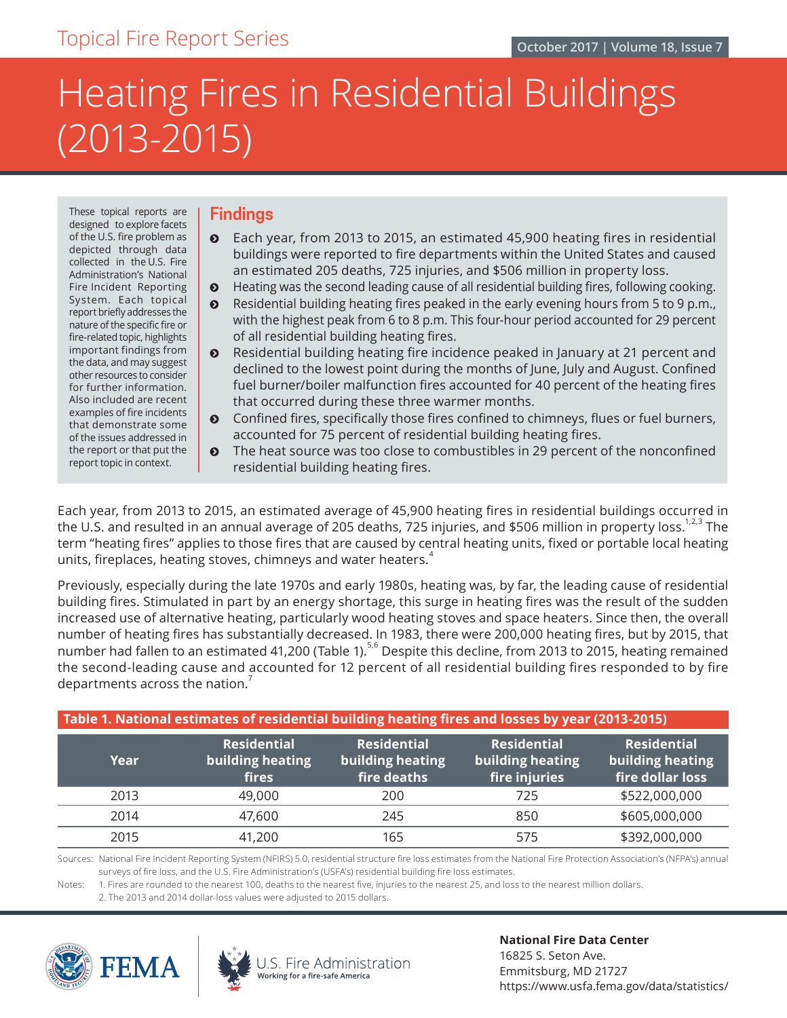# Heating Fires in Residential Buildings (2013-2015)

These topical reports are designed to explore facets of the U.S. fire problem as depicted through data collected in the U.S. Fire Administration's National Fire Incident Reporting System. Each topical report briefly addresses the nature of the specific fire or fire-related topic, highlights important findings from the data, and may suggest other resources to consider for further information. Also included are recent examples of fire incidents that demonstrate some of the issues addressed in the report or that put the report topic in context.

### **Findings**

- $\odot$  Each year, from 2013 to 2015, an estimated 45,900 heating fires in residential buildings were reported to fire departments within the United States and caused an estimated 205 deaths, 725 injuries, and \$506 million in property loss.
- **•** Heating was the second leading cause of all residential building fires, following cooking.
- $\odot$  Residential building heating fires peaked in the early evening hours from 5 to 9 p.m., with the highest peak from 6 to 8 p.m. This four-hour period accounted for 29 percent of all residential building heating fires.
- $\odot$  Residential building heating fire incidence peaked in January at 21 percent and declined to the lowest point during the months of June, July and August. Confined fuel burner/boiler malfunction fires accounted for 40 percent of the heating fires that occurred during these three warmer months.
- $\odot$  Confined fires, specifically those fires confined to chimneys, flues or fuel burners, accounted for 75 percent of residential building heating fires.
- The heat source was too close to combustibles in 29 percent of the nonconfined residential building heating fires.

Each year, from 2013 to 2015, an estimated average of 45,900 heating fires in residential buildings occurred in the U.S. and resulted in an annual average of 205 deaths, 725 injuries, and \$506 million in property loss.<sup>1,2,3</sup> The term "heating fires" applies to those fires that are caused by central heating units, fixed or portable local heating units, fireplaces, heating stoves, chimneys and water heaters. $4$ 

Previously, especially during the late 1970s and early 1980s, heating was, by far, the leading cause of residential building fires. Stimulated in part by an energy shortage, this surge in heating fires was the result of the sudden increased use of alternative heating, particularly wood heating stoves and space heaters. Since then, the overall number of heating fires has substantially decreased. In 1983, there were 200,000 heating fires, but by 2015, that number had fallen to an estimated 41,200 (Table 1).<sup>5,6</sup> Despite this decline, from 2013 to 2015, heating remained the second-leading cause and accounted for 12 percent of all residential building fires responded to by fire departments across the nation.

| Table 1. National estimates of residential building heating fires and losses by year (2013-2015) |                                                 |                                                       |                                                         |                                                            |
|--------------------------------------------------------------------------------------------------|-------------------------------------------------|-------------------------------------------------------|---------------------------------------------------------|------------------------------------------------------------|
| Year                                                                                             | <b>Residential</b><br>building heating<br>fires | <b>Residential</b><br>building heating<br>fire deaths | <b>Residential</b><br>building heating<br>fire injuries | <b>Residential</b><br>building heating<br>fire dollar loss |
| 2013                                                                                             | 49,000                                          | 200                                                   | 725                                                     | \$522,000,000                                              |
| 2014                                                                                             | 47,600                                          | 245                                                   | 850                                                     | \$605,000,000                                              |
| 2015                                                                                             | 41,200                                          | 165                                                   | 575                                                     | \$392,000,000                                              |

Sources: National Fire Incident Reporting System (NFIRS) 5.0, residential structure fire loss estimates from the National Fire Protection Association's (NFPA's) annual surveys of fire loss, and the U.S. Fire Administration's (USFA's) residential building fire loss estimates.

Notes: 1. Fires are rounded to the nearest 100, deaths to the nearest five, injuries to the nearest 25, and loss to the nearest million dollars.

 2. The 2013 and 2014 dollar-loss values were adjusted to 2015 dollars.







**National Fire Data Center** 16825 S. Seton Ave. Emmitsburg, MD 21727 https://www.usfa.fema.gov/data/statistics/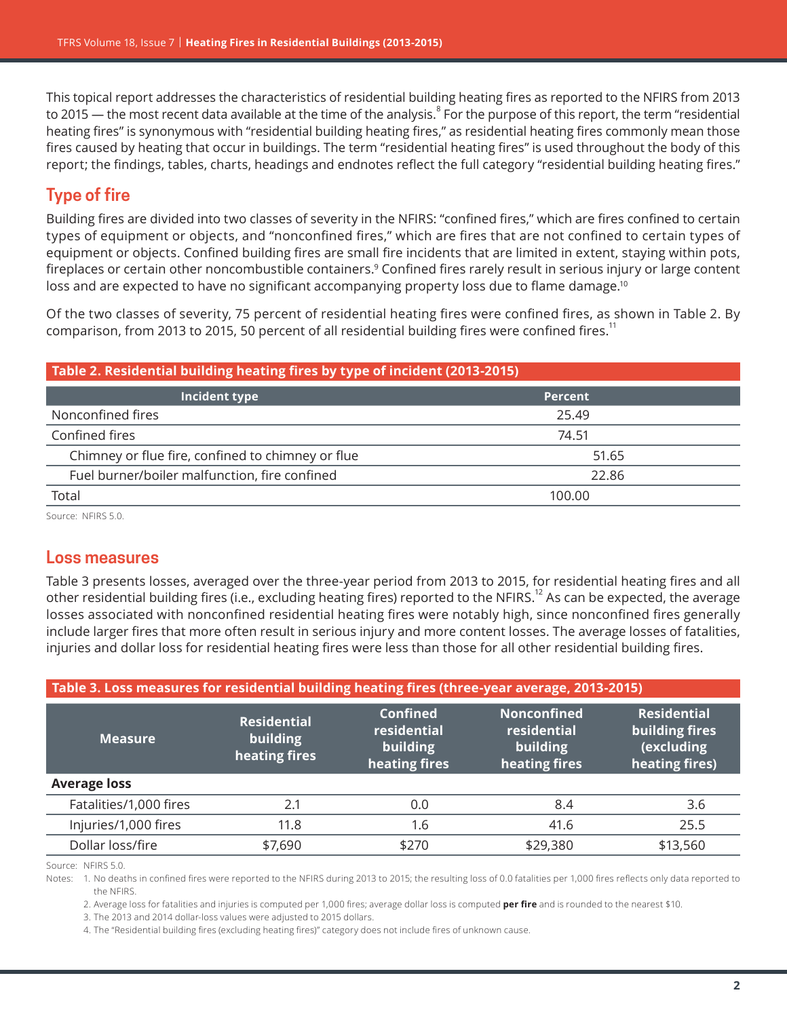This topical report addresses the characteristics of residential building heating fires as reported to the NFIRS from 2013 to 2015 — the most recent data available at the time of the analysis. $^8$  For the purpose of this report, the term "residential heating fires" is synonymous with "residential building heating fires," as residential heating fires commonly mean those fires caused by heating that occur in buildings. The term "residential heating fires" is used throughout the body of this report; the findings, tables, charts, headings and endnotes reflect the full category "residential building heating fires."

# **Type of fire**

Building fires are divided into two classes of severity in the NFIRS: "confined fires," which are fires confined to certain types of equipment or objects, and "nonconfined fires," which are fires that are not confined to certain types of equipment or objects. Confined building fires are small fire incidents that are limited in extent, staying within pots, fireplaces or certain other noncombustible containers.9 Confined fires rarely result in serious injury or large content loss and are expected to have no significant accompanying property loss due to flame damage.<sup>10</sup>

Of the two classes of severity, 75 percent of residential heating fires were confined fires, as shown in Table 2. By comparison, from 2013 to 2015, 50 percent of all residential building fires were confined fires.<sup>11</sup>

| Table 2. Residential building heating fires by type of incident (2013-2015) |                |  |
|-----------------------------------------------------------------------------|----------------|--|
| Incident type                                                               | <b>Percent</b> |  |
| Nonconfined fires                                                           | 25.49          |  |
| Confined fires                                                              | 74.51          |  |
| Chimney or flue fire, confined to chimney or flue                           | 51.65          |  |
| Fuel burner/boiler malfunction, fire confined<br>22.86                      |                |  |
| Total                                                                       | 100.00         |  |

Source: NFIRS 5.0.

## **Loss measures**

Table 3 presents losses, averaged over the three-year period from 2013 to 2015, for residential heating fires and all other residential building fires (i.e., excluding heating fires) reported to the NFIRS.12 As can be expected, the average losses associated with nonconfined residential heating fires were notably high, since nonconfined fires generally include larger fires that more often result in serious injury and more content losses. The average losses of fatalities, injuries and dollar loss for residential heating fires were less than those for all other residential building fires.

| Table 3. Loss measures for residential building heating fires (three-year average, 2013-2015) |                                                 |                                                             |                                                                |                                                                      |
|-----------------------------------------------------------------------------------------------|-------------------------------------------------|-------------------------------------------------------------|----------------------------------------------------------------|----------------------------------------------------------------------|
| <b>Measure</b>                                                                                | <b>Residential</b><br>building<br>heating fires | <b>Confined</b><br>residential<br>building<br>heating fires | <b>Nonconfined</b><br>residential<br>building<br>heating fires | <b>Residential</b><br>building fires<br>(excluding<br>heating fires) |
| <b>Average loss</b>                                                                           |                                                 |                                                             |                                                                |                                                                      |
| Fatalities/1,000 fires                                                                        | 2.1                                             | 0.0                                                         | 8.4                                                            | 3.6                                                                  |
| Injuries/1,000 fires                                                                          | 11.8                                            | 1.6                                                         | 41.6                                                           | 25.5                                                                 |
| Dollar loss/fire                                                                              | \$7,690                                         | \$270                                                       | \$29,380                                                       | \$13,560                                                             |

Source: NFIRS 5.0.

Notes: 1. No deaths in confined fires were reported to the NFIRS during 2013 to 2015; the resulting loss of 0.0 fatalities per 1,000 fires reflects only data reported to the NFIRS.

2. Average loss for fatalities and injuries is computed per 1,000 fires; average dollar loss is computed **per fire** and is rounded to the nearest \$10.

3. The 2013 and 2014 dollar-loss values were adjusted to 2015 dollars.

4. The "Residential building fires (excluding heating fires)" category does not include fires of unknown cause.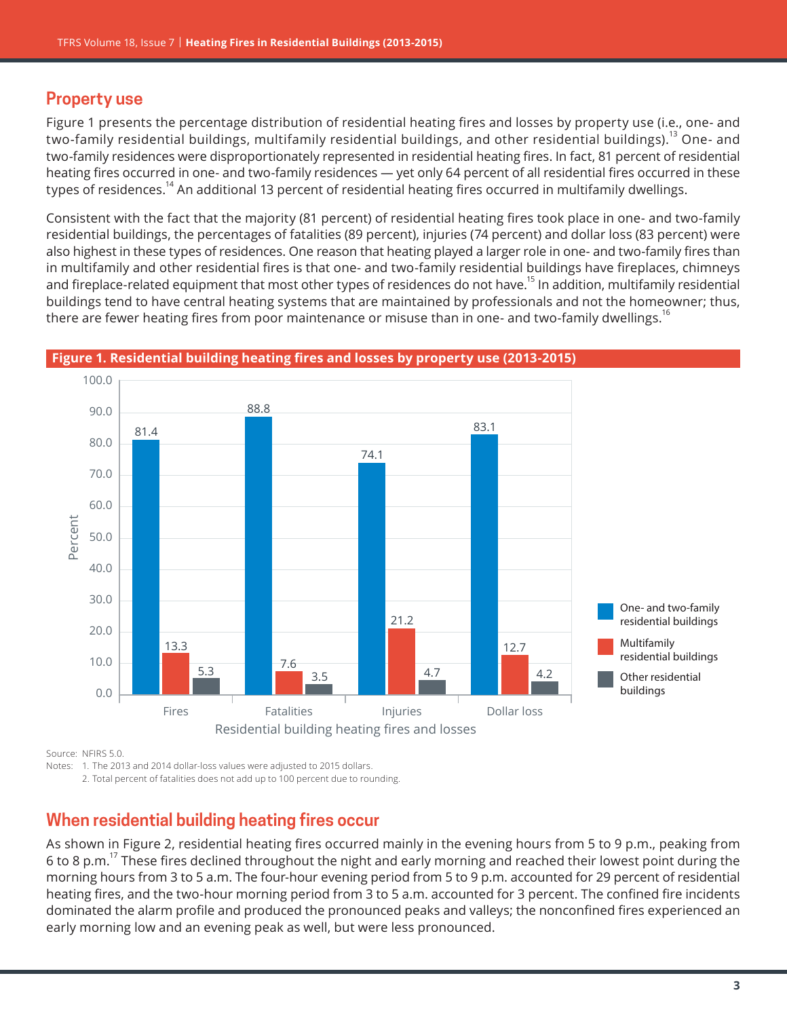# **Property use**

Figure 1 presents the percentage distribution of residential heating fires and losses by property use (i.e., one- and two-family residential buildings, multifamily residential buildings, and other residential buildings).<sup>13</sup> One- and two-family residences were disproportionately represented in residential heating fires. In fact, 81 percent of residential heating fires occurred in one- and two-family residences — yet only 64 percent of all residential fires occurred in these types of residences.<sup>14</sup> An additional 13 percent of residential heating fires occurred in multifamily dwellings.

Consistent with the fact that the majority (81 percent) of residential heating fires took place in one- and two-family residential buildings, the percentages of fatalities (89 percent), injuries (74 percent) and dollar loss (83 percent) were also highest in these types of residences. One reason that heating played a larger role in one- and two-family fires than in multifamily and other residential fires is that one- and two-family residential buildings have fireplaces, chimneys and fireplace-related equipment that most other types of residences do not have.<sup>15</sup> In addition, multifamily residential buildings tend to have central heating systems that are maintained by professionals and not the homeowner; thus, there are fewer heating fires from poor maintenance or misuse than in one- and two-family dwellings.<sup>16</sup>



#### **Figure 1. Residential building heating fires and losses by property use (2013-2015)**

Source: NFIRS 5.0.

Notes: 1. The 2013 and 2014 dollar-loss values were adjusted to 2015 dollars.

2. Total percent of fatalities does not add up to 100 percent due to rounding.

# **When residential building heating fires occur**

As shown in Figure 2, residential heating fires occurred mainly in the evening hours from 5 to 9 p.m., peaking from 6 to 8 p.m.<sup>17</sup> These fires declined throughout the night and early morning and reached their lowest point during the morning hours from 3 to 5 a.m. The four-hour evening period from 5 to 9 p.m. accounted for 29 percent of residential heating fires, and the two-hour morning period from 3 to 5 a.m. accounted for 3 percent. The confined fire incidents dominated the alarm profile and produced the pronounced peaks and valleys; the nonconfined fires experienced an early morning low and an evening peak as well, but were less pronounced.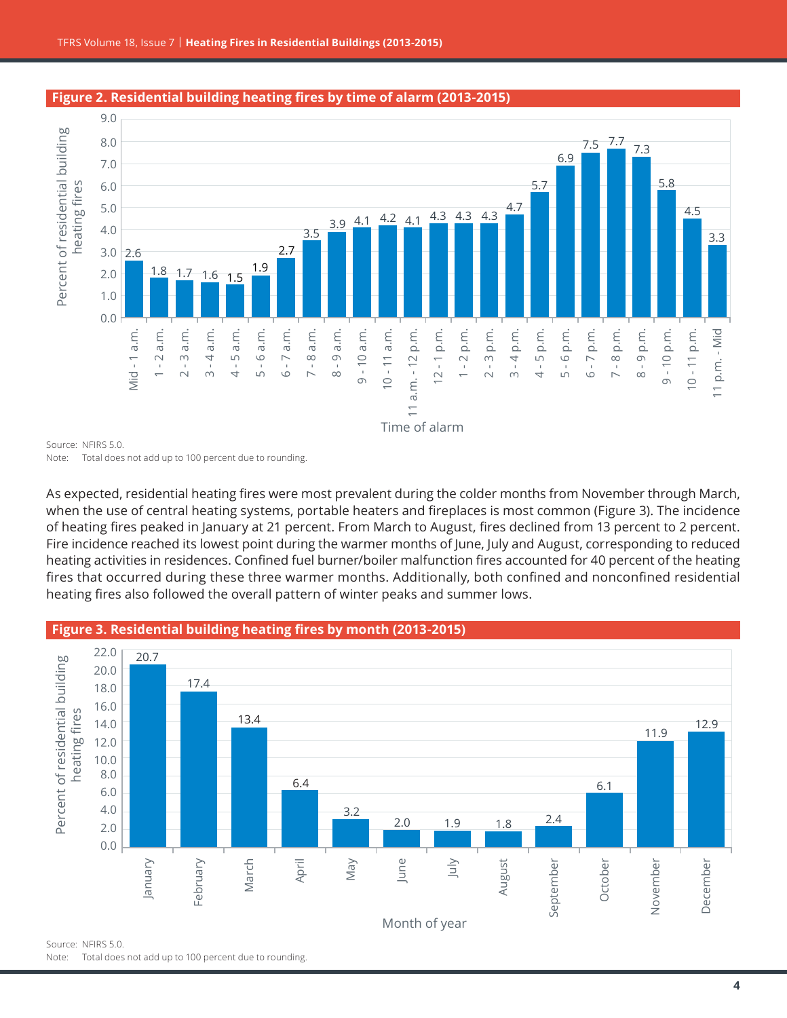



#### **Figure 2. Residential building heating fires by time of alarm (2013-2015)**

9.0

when the use of central heating systems, portable heaters and fireplaces is most common (Figure 3). The incidence of heating fires peaked in January at 21 percent. From March to August, fires declined from 13 percent to 2 percent. Fire incidence reached its lowest point during the warmer months of June, July and August, corresponding to reduced heating activities in residences. Confined fuel burner/boiler malfunction fires accounted for 40 percent of the heating fires that occurred during these three warmer months. Additionally, both confined and nonconfined residential heating fires also followed the overall pattern of winter peaks and summer lows.



#### **Figure 3. Residential building heating fires by month (2013-2015)**

Source: NFIRS 5.0. Note: Total does not add up to 100 percent due to rounding.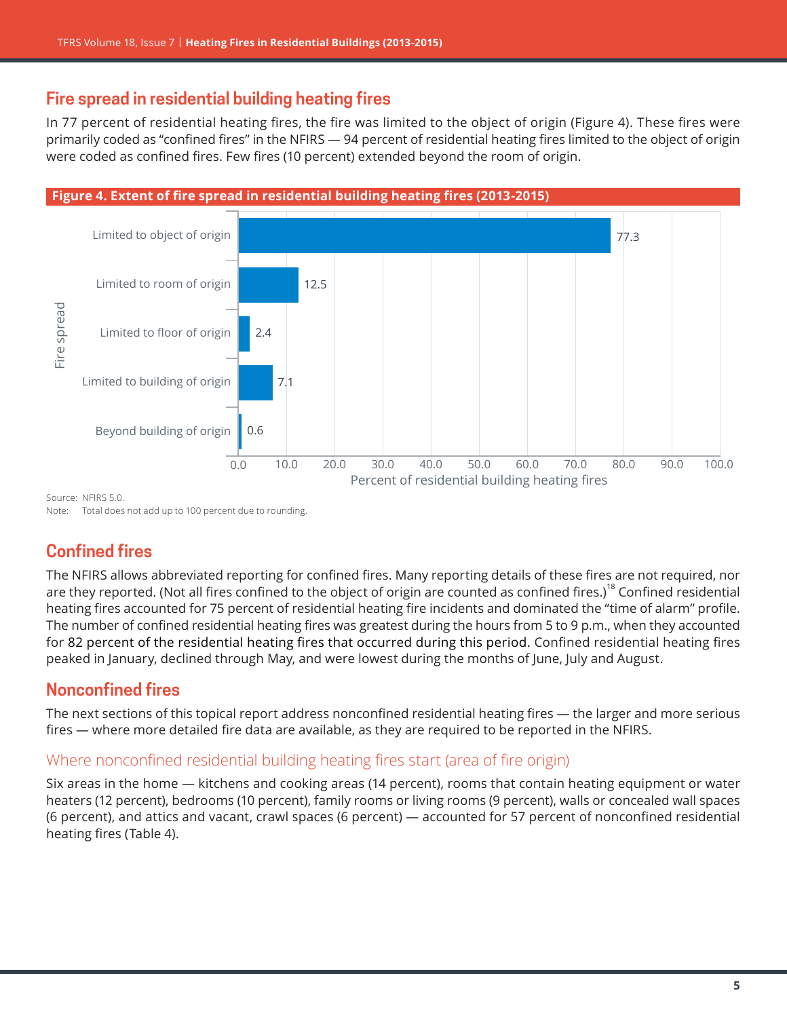# **Fire spread in residential building heating fires**

In 77 percent of residential heating fires, the fire was limited to the object of origin (Figure 4). These fires were primarily coded as "confined fires" in the NFIRS — 94 percent of residential heating fires limited to the object of origin were coded as confined fires. Few fires (10 percent) extended beyond the room of origin.



Note: Total does not add up to 100 percent due to rounding.

# **Confined fires**

The NFIRS allows abbreviated reporting for confined fires. Many reporting details of these fires are not required, nor are they reported. (Not all fires confined to the object of origin are counted as confined fires.)<sup>18</sup> Confined residential heating fires accounted for 75 percent of residential heating fire incidents and dominated the "time of alarm" profile. The number of confined residential heating fires was greatest during the hours from 5 to 9 p.m., when they accounted for 82 percent of the residential heating fires that occurred during this period. Confined residential heating fires peaked in January, declined through May, and were lowest during the months of June, July and August.

# **Nonconfined fires**

The next sections of this topical report address nonconfined residential heating fires — the larger and more serious fires — where more detailed fire data are available, as they are required to be reported in the NFIRS.

#### Where nonconfined residential building heating fires start (area of fire origin)

Six areas in the home — kitchens and cooking areas (14 percent), rooms that contain heating equipment or water heaters (12 percent), bedrooms (10 percent), family rooms or living rooms (9 percent), walls or concealed wall spaces (6 percent), and attics and vacant, crawl spaces (6 percent) — accounted for 57 percent of nonconfined residential heating fires (Table 4).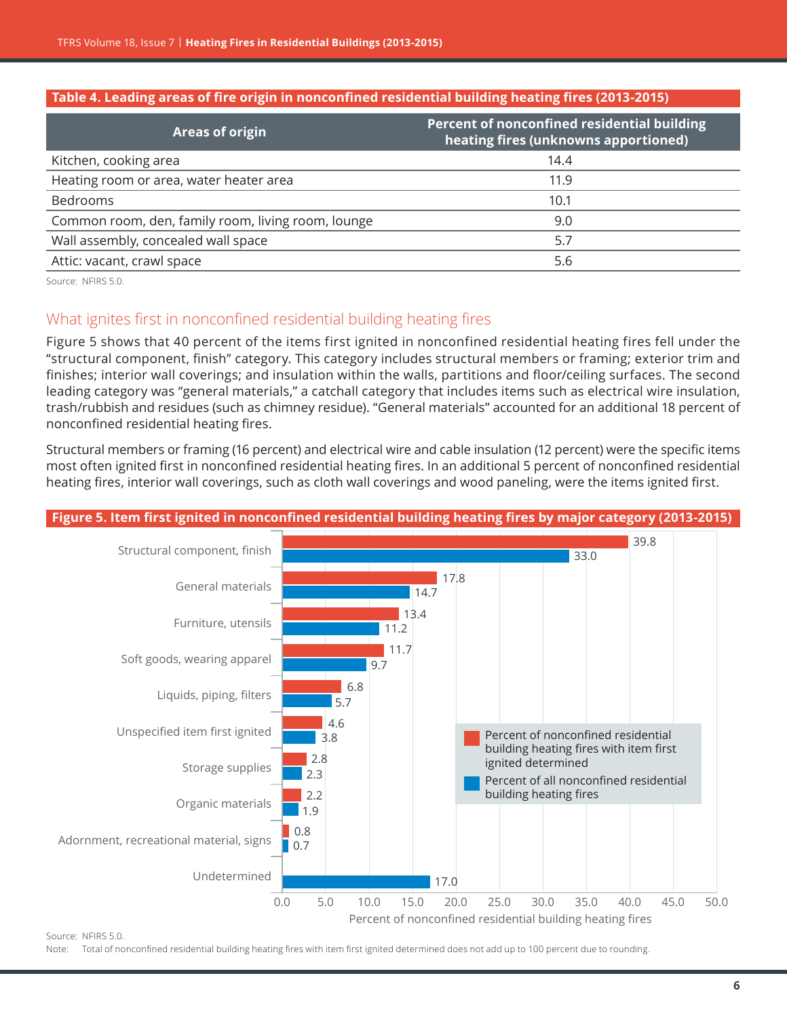#### **Table 4. Leading areas of fire origin in nonconfined residential building heating fires (2013-2015)**

| <b>Areas of origin</b>                             | Percent of nonconfined residential building<br>heating fires (unknowns apportioned) |
|----------------------------------------------------|-------------------------------------------------------------------------------------|
| Kitchen, cooking area                              | 14.4                                                                                |
| Heating room or area, water heater area            | 11.9                                                                                |
| Bedrooms                                           | 10.1                                                                                |
| Common room, den, family room, living room, lounge | 9.0                                                                                 |
| Wall assembly, concealed wall space                | 5.7                                                                                 |
| Attic: vacant, crawl space                         | 5.6                                                                                 |

Source: NFIRS 5.0.

## What ignites first in nonconfined residential building heating fires

Figure 5 shows that 40 percent of the items first ignited in nonconfined residential heating fires fell under the "structural component, finish" category. This category includes structural members or framing; exterior trim and finishes; interior wall coverings; and insulation within the walls, partitions and floor/ceiling surfaces. The second leading category was "general materials," a catchall category that includes items such as electrical wire insulation, trash/rubbish and residues (such as chimney residue). "General materials" accounted for an additional 18 percent of nonconfined residential heating fires.

Structural members or framing (16 percent) and electrical wire and cable insulation (12 percent) were the specific items most often ignited first in nonconfined residential heating fires. In an additional 5 percent of nonconfined residential heating fires, interior wall coverings, such as cloth wall coverings and wood paneling, were the items ignited first.



Source: NFIRS 5.0.

Note: Total of nonconfined residential building heating fires with item first ignited determined does not add up to 100 percent due to rounding.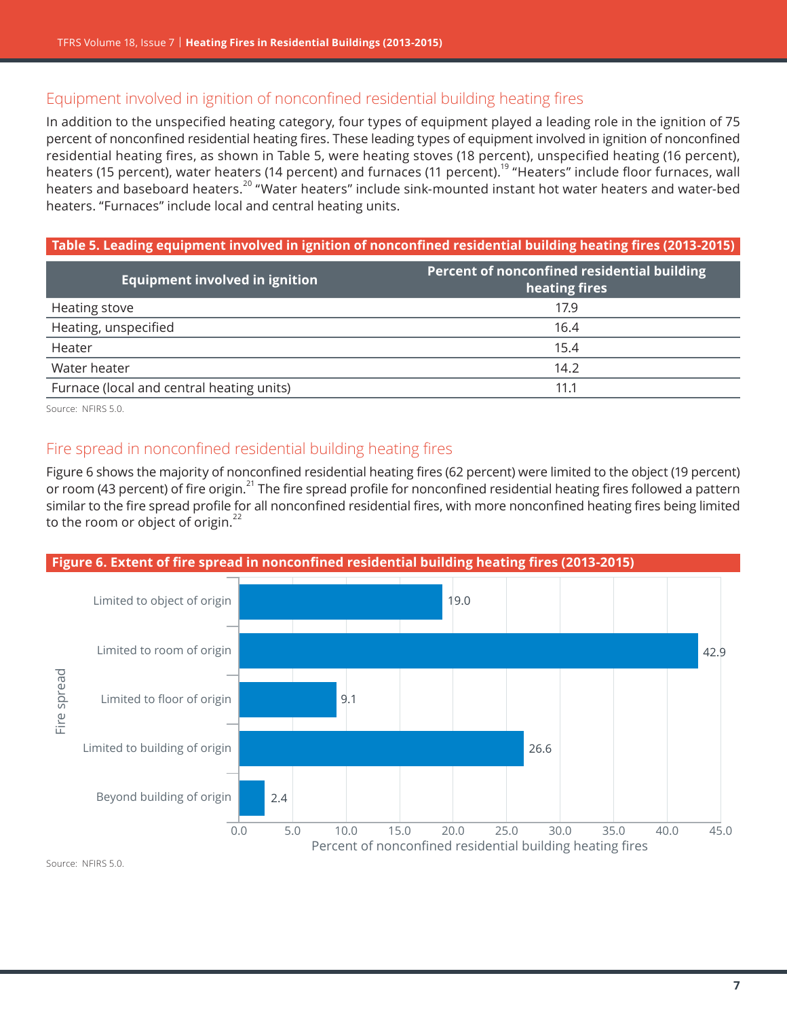## Equipment involved in ignition of nonconfined residential building heating fires

In addition to the unspecified heating category, four types of equipment played a leading role in the ignition of 75 percent of nonconfined residential heating fires. These leading types of equipment involved in ignition of nonconfined residential heating fires, as shown in Table 5, were heating stoves (18 percent), unspecified heating (16 percent), heaters (15 percent), water heaters (14 percent) and furnaces (11 percent).<sup>19</sup> "Heaters" include floor furnaces, wall heaters and baseboard heaters.20 "Water heaters" include sink-mounted instant hot water heaters and water-bed heaters. "Furnaces" include local and central heating units.

#### **Table 5. Leading equipment involved in ignition of nonconfined residential building heating fires (2013-2015)**

| Equipment involved in ignition            | Percent of nonconfined residential building<br>heating fires |
|-------------------------------------------|--------------------------------------------------------------|
| <b>Heating stove</b>                      | 17.9                                                         |
| Heating, unspecified                      | 16.4                                                         |
| Heater                                    | 15.4                                                         |
| Water heater                              | 14.2                                                         |
| Furnace (local and central heating units) | 11.1                                                         |

Source: NFIRS 5.0.

## Fire spread in nonconfined residential building heating fires

Figure 6 shows the majority of nonconfined residential heating fires (62 percent) were limited to the object (19 percent) or room (43 percent) of fire origin.<sup>21</sup> The fire spread profile for nonconfined residential heating fires followed a pattern similar to the fire spread profile for all nonconfined residential fires, with more nonconfined heating fires being limited to the room or object of origin. $^{22}$ 



Source: NFIRS 5.0.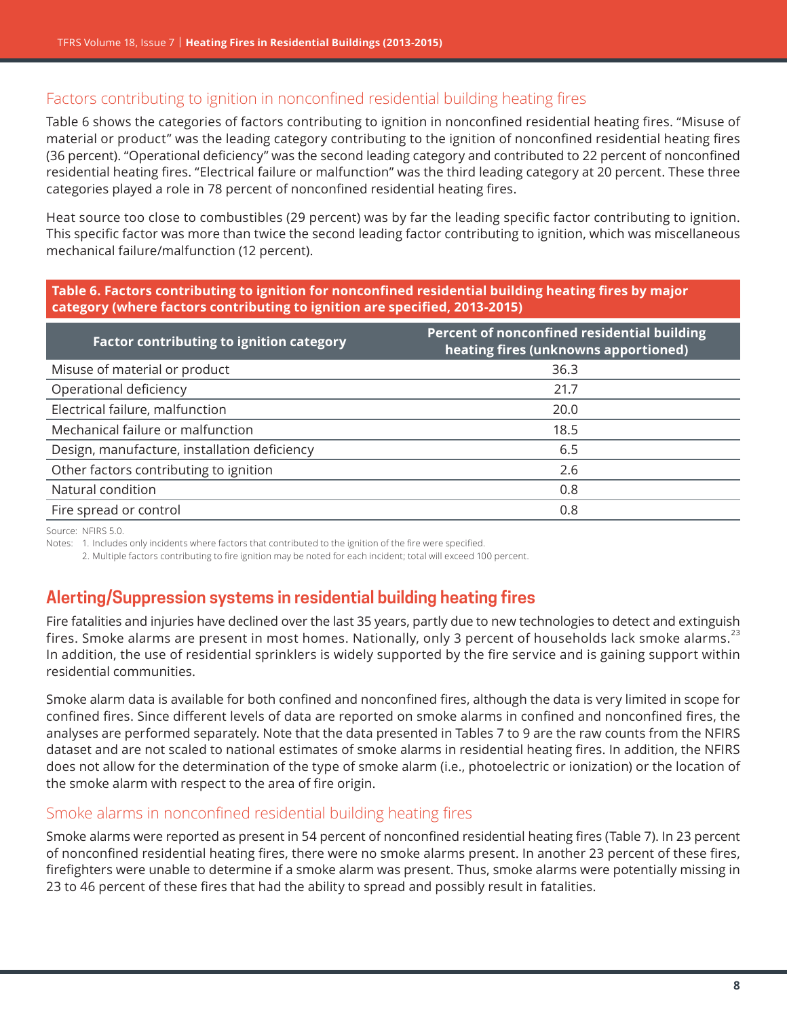## Factors contributing to ignition in nonconfined residential building heating fires

Table 6 shows the categories of factors contributing to ignition in nonconfined residential heating fires. "Misuse of material or product" was the leading category contributing to the ignition of nonconfined residential heating fires (36 percent). "Operational deficiency" was the second leading category and contributed to 22 percent of nonconfined residential heating fires. "Electrical failure or malfunction" was the third leading category at 20 percent. These three categories played a role in 78 percent of nonconfined residential heating fires.

Heat source too close to combustibles (29 percent) was by far the leading specific factor contributing to ignition. This specific factor was more than twice the second leading factor contributing to ignition, which was miscellaneous mechanical failure/malfunction (12 percent).

#### **Table 6. Factors contributing to ignition for nonconfined residential building heating fires by major category (where factors contributing to ignition are specified, 2013-2015)**

| <b>Factor contributing to ignition category</b> | Percent of nonconfined residential building<br>heating fires (unknowns apportioned) |
|-------------------------------------------------|-------------------------------------------------------------------------------------|
| Misuse of material or product                   | 36.3                                                                                |
| Operational deficiency                          | 21.7                                                                                |
| Electrical failure, malfunction                 | 20.0                                                                                |
| Mechanical failure or malfunction               | 18.5                                                                                |
| Design, manufacture, installation deficiency    | 6.5                                                                                 |
| Other factors contributing to ignition          | 2.6                                                                                 |
| Natural condition                               | 0.8                                                                                 |
| Fire spread or control                          | 0.8                                                                                 |

Source: NEIRS 5.0.

Notes: 1. Includes only incidents where factors that contributed to the ignition of the fire were specified.

2. Multiple factors contributing to fire ignition may be noted for each incident; total will exceed 100 percent.

# **Alerting/Suppression systems in residential building heating fires**

Fire fatalities and injuries have declined over the last 35 years, partly due to new technologies to detect and extinguish fires. Smoke alarms are present in most homes. Nationally, only 3 percent of households lack smoke alarms.<sup>23</sup> In addition, the use of residential sprinklers is widely supported by the fire service and is gaining support within residential communities.

Smoke alarm data is available for both confined and nonconfined fires, although the data is very limited in scope for confined fires. Since different levels of data are reported on smoke alarms in confined and nonconfined fires, the analyses are performed separately. Note that the data presented in Tables 7 to 9 are the raw counts from the NFIRS dataset and are not scaled to national estimates of smoke alarms in residential heating fires. In addition, the NFIRS does not allow for the determination of the type of smoke alarm (i.e., photoelectric or ionization) or the location of the smoke alarm with respect to the area of fire origin.

#### Smoke alarms in nonconfined residential building heating fires

Smoke alarms were reported as present in 54 percent of nonconfined residential heating fires (Table 7). In 23 percent of nonconfined residential heating fires, there were no smoke alarms present. In another 23 percent of these fires, firefighters were unable to determine if a smoke alarm was present. Thus, smoke alarms were potentially missing in 23 to 46 percent of these fires that had the ability to spread and possibly result in fatalities.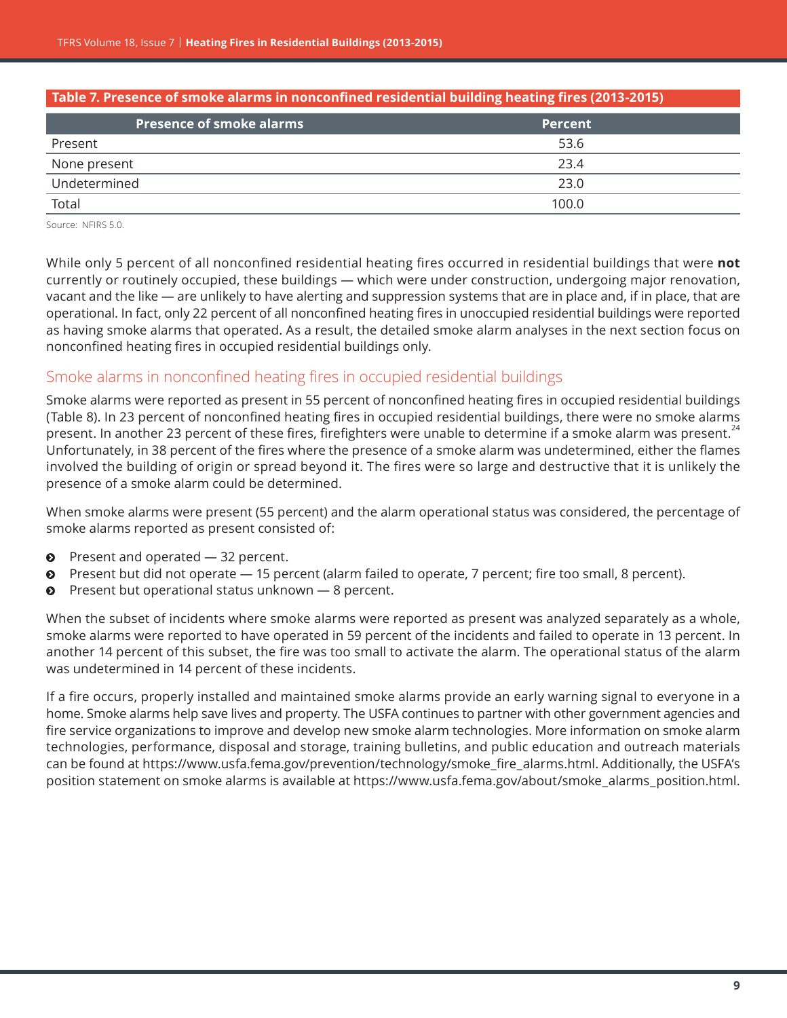| Table 7. Presence of smoke alarms in nonconfined residential building heating fires (2013-2015) |                |  |
|-------------------------------------------------------------------------------------------------|----------------|--|
| <b>Presence of smoke alarms</b>                                                                 | <b>Percent</b> |  |
| Present                                                                                         | 53.6           |  |
| None present                                                                                    | 23.4           |  |
| Undetermined                                                                                    | 23.0           |  |
| Total                                                                                           | 100.0          |  |

Source: NFIRS 5.0.

While only 5 percent of all nonconfined residential heating fires occurred in residential buildings that were **not** currently or routinely occupied, these buildings — which were under construction, undergoing major renovation, vacant and the like — are unlikely to have alerting and suppression systems that are in place and, if in place, that are operational. In fact, only 22 percent of all nonconfined heating fires in unoccupied residential buildings were reported as having smoke alarms that operated. As a result, the detailed smoke alarm analyses in the next section focus on nonconfined heating fires in occupied residential buildings only.

#### Smoke alarms in nonconfined heating fires in occupied residential buildings

Smoke alarms were reported as present in 55 percent of nonconfined heating fires in occupied residential buildings (Table 8). In 23 percent of nonconfined heating fires in occupied residential buildings, there were no smoke alarms present. In another 23 percent of these fires, firefighters were unable to determine if a smoke alarm was present.<sup>24</sup> Unfortunately, in 38 percent of the fires where the presence of a smoke alarm was undetermined, either the flames involved the building of origin or spread beyond it. The fires were so large and destructive that it is unlikely the presence of a smoke alarm could be determined.

When smoke alarms were present (55 percent) and the alarm operational status was considered, the percentage of smoke alarms reported as present consisted of:

- $\bullet$  Present and operated  $-$  32 percent.
- $\odot$  Present but did not operate  $-15$  percent (alarm failed to operate, 7 percent; fire too small, 8 percent).
- $\bullet$  Present but operational status unknown  $-8$  percent.

When the subset of incidents where smoke alarms were reported as present was analyzed separately as a whole, smoke alarms were reported to have operated in 59 percent of the incidents and failed to operate in 13 percent. In another 14 percent of this subset, the fire was too small to activate the alarm. The operational status of the alarm was undetermined in 14 percent of these incidents.

If a fire occurs, properly installed and maintained smoke alarms provide an early warning signal to everyone in a home. Smoke alarms help save lives and property. The USFA continues to partner with other government agencies and fire service organizations to improve and develop new smoke alarm technologies. More information on smoke alarm technologies, performance, disposal and storage, training bulletins, and public education and outreach materials can be found at [https://www.usfa.fema.gov/prevention/technology/smoke\\_fire\\_alarms.html](https://www.usfa.fema.gov/prevention/technology/smoke_fire_alarms.html). Additionally, the USFA's position statement on smoke alarms is available at [https://www.usfa.fema.gov/about/smoke\\_alarms\\_position.html](https://www.usfa.fema.gov/about/smoke_alarms_position.html).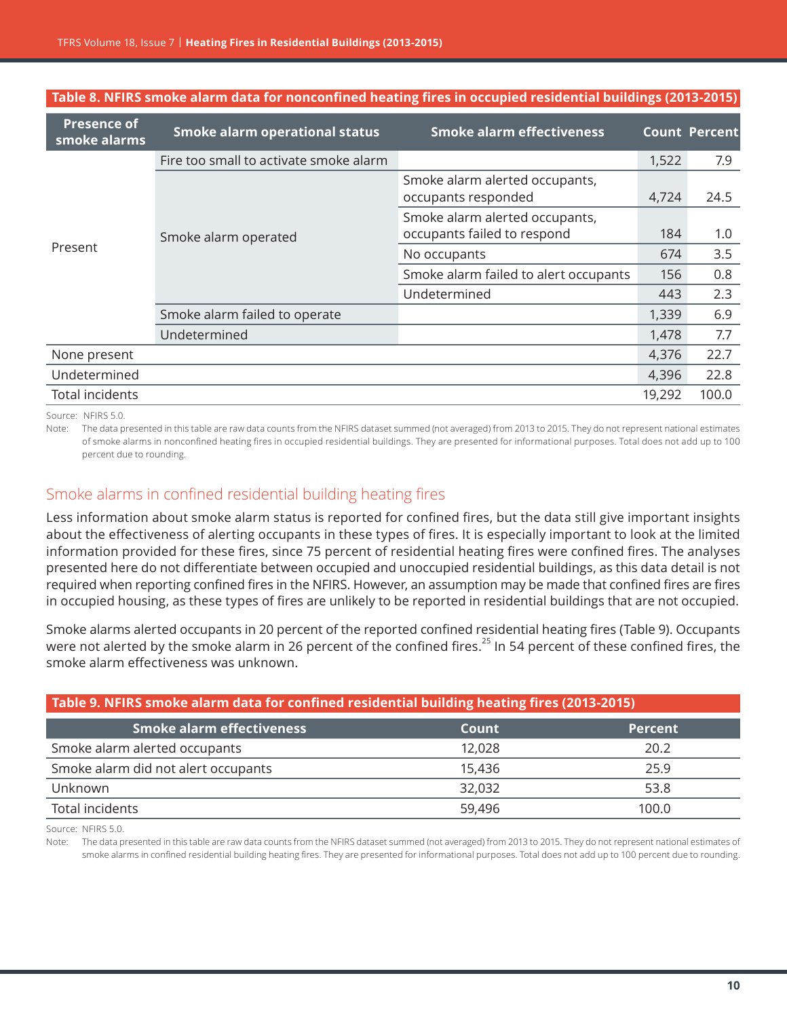| <b>Presence of</b><br>smoke alarms | <b>Smoke alarm operational status</b>  | <b>Smoke alarm effectiveness</b>                              |        | <b>Count Percent</b> |
|------------------------------------|----------------------------------------|---------------------------------------------------------------|--------|----------------------|
|                                    | Fire too small to activate smoke alarm |                                                               | 1,522  | 7.9                  |
| Present                            | Smoke alarm operated                   | Smoke alarm alerted occupants,<br>occupants responded         | 4,724  | 24.5                 |
|                                    |                                        | Smoke alarm alerted occupants,<br>occupants failed to respond | 184    | 1.0                  |
|                                    |                                        | No occupants                                                  | 674    | 3.5                  |
|                                    |                                        | Smoke alarm failed to alert occupants                         | 156    | 0.8                  |
|                                    |                                        | Undetermined                                                  | 443    | 2.3                  |
|                                    | Smoke alarm failed to operate          |                                                               | 1,339  | 6.9                  |
|                                    | Undetermined                           |                                                               | 1,478  | 7.7                  |
| None present                       |                                        |                                                               | 4,376  | 22.7                 |
| Undetermined                       |                                        |                                                               | 4,396  | 22.8                 |
| <b>Total incidents</b>             |                                        |                                                               | 19,292 | 100.0                |

#### **Table 8. NFIRS smoke alarm data for nonconfined heating fires in occupied residential buildings (2013-2015)**

Source: NFIRS 5.0.

Note: The data presented in this table are raw data counts from the NFIRS dataset summed (not averaged) from 2013 to 2015. They do not represent national estimates of smoke alarms in nonconfined heating fires in occupied residential buildings. They are presented for informational purposes. Total does not add up to 100 percent due to rounding.

## Smoke alarms in confined residential building heating fires

Less information about smoke alarm status is reported for confined fires, but the data still give important insights about the effectiveness of alerting occupants in these types of fires. It is especially important to look at the limited information provided for these fires, since 75 percent of residential heating fires were confined fires. The analyses presented here do not differentiate between occupied and unoccupied residential buildings, as this data detail is not required when reporting confined fires in the NFIRS. However, an assumption may be made that confined fires are fires in occupied housing, as these types of fires are unlikely to be reported in residential buildings that are not occupied.

Smoke alarms alerted occupants in 20 percent of the reported confined residential heating fires (Table 9). Occupants were not alerted by the smoke alarm in 26 percent of the confined fires.<sup>25</sup> In 54 percent of these confined fires, the smoke alarm effectiveness was unknown.

| Table 9. NFIRS smoke alarm data for confined residential building heating fires (2013-2015) |        |                |
|---------------------------------------------------------------------------------------------|--------|----------------|
| <b>Smoke alarm effectiveness</b>                                                            | Count  | <b>Percent</b> |
| Smoke alarm alerted occupants                                                               | 12,028 | 20.2           |
| Smoke alarm did not alert occupants                                                         | 15.436 | 25.9           |
| Unknown                                                                                     | 32,032 | 53.8           |
| Total incidents                                                                             | 59,496 | 100.0          |

Source: NFIRS 5.0.

Note: The data presented in this table are raw data counts from the NFIRS dataset summed (not averaged) from 2013 to 2015. They do not represent national estimates of smoke alarms in confined residential building heating fires. They are presented for informational purposes. Total does not add up to 100 percent due to rounding.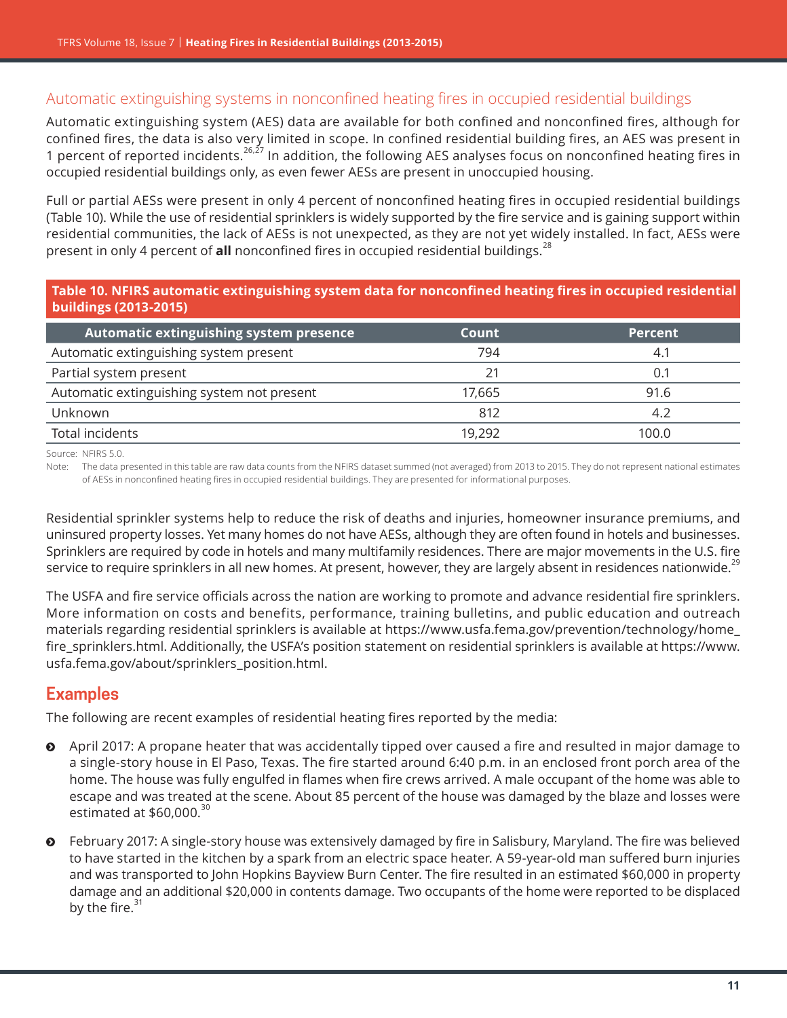## Automatic extinguishing systems in nonconfined heating fires in occupied residential buildings

Automatic extinguishing system (AES) data are available for both confined and nonconfined fires, although for confined fires, the data is also very limited in scope. In confined residential building fires, an AES was present in 1 percent of reported incidents.26,27 In addition, the following AES analyses focus on nonconfined heating fires in occupied residential buildings only, as even fewer AESs are present in unoccupied housing.

Full or partial AESs were present in only 4 percent of nonconfined heating fires in occupied residential buildings (Table 10). While the use of residential sprinklers is widely supported by the fire service and is gaining support within residential communities, the lack of AESs is not unexpected, as they are not yet widely installed. In fact, AESs were present in only 4 percent of **all** nonconfined fires in occupied residential buildings.<sup>28</sup>

#### **Table 10. NFIRS automatic extinguishing system data for nonconfined heating fires in occupied residential buildings (2013-2015)**

| Automatic extinguishing system presence    | Count  | <b>Percent</b> |
|--------------------------------------------|--------|----------------|
| Automatic extinguishing system present     | 794    | 4.1            |
| Partial system present                     | 21     | 0.1            |
| Automatic extinguishing system not present | 17.665 | 91.6           |
| Unknown                                    | 812    | 4.2            |
| Total incidents                            | 19.292 | 100.0          |

Source: NFIRS 5.0.

Note: The data presented in this table are raw data counts from the NFIRS dataset summed (not averaged) from 2013 to 2015. They do not represent national estimates of AESs in nonconfined heating fires in occupied residential buildings. They are presented for informational purposes.

Residential sprinkler systems help to reduce the risk of deaths and injuries, homeowner insurance premiums, and uninsured property losses. Yet many homes do not have AESs, although they are often found in hotels and businesses. Sprinklers are required by code in hotels and many multifamily residences. There are major movements in the U.S. fire service to require sprinklers in all new homes. At present, however, they are largely absent in residences nationwide.<sup>29</sup>

The USFA and fire service officials across the nation are working to promote and advance residential fire sprinklers. More information on costs and benefits, performance, training bulletins, and public education and outreach materials regarding residential sprinklers is available at [https://www.usfa.fema.gov/prevention/technology/home\\_](https://www.usfa.fema.gov/prevention/technology/home_fire_sprinklers.html) [fire\\_sprinklers.html](https://www.usfa.fema.gov/prevention/technology/home_fire_sprinklers.html). Additionally, the USFA's position statement on residential sprinklers is available at [https://www.](https://www.usfa.fema.gov/about/sprinklers_position.html) [usfa.fema.gov/about/sprinklers\\_position.html](https://www.usfa.fema.gov/about/sprinklers_position.html).

## **Examples**

The following are recent examples of residential heating fires reported by the media:

- **•** April 2017: A propane heater that was accidentally tipped over caused a fire and resulted in major damage to a single-story house in El Paso, Texas. The fire started around 6:40 p.m. in an enclosed front porch area of the home. The house was fully engulfed in flames when fire crews arrived. A male occupant of the home was able to escape and was treated at the scene. About 85 percent of the house was damaged by the blaze and losses were estimated at  $$60,000.<sup>30</sup>$
- ĵ February 2017: A single-story house was extensively damaged by fire in Salisbury, Maryland. The fire was believed to have started in the kitchen by a spark from an electric space heater. A 59-year-old man suffered burn injuries and was transported to John Hopkins Bayview Burn Center. The fire resulted in an estimated \$60,000 in property damage and an additional \$20,000 in contents damage. Two occupants of the home were reported to be displaced by the fire. $31$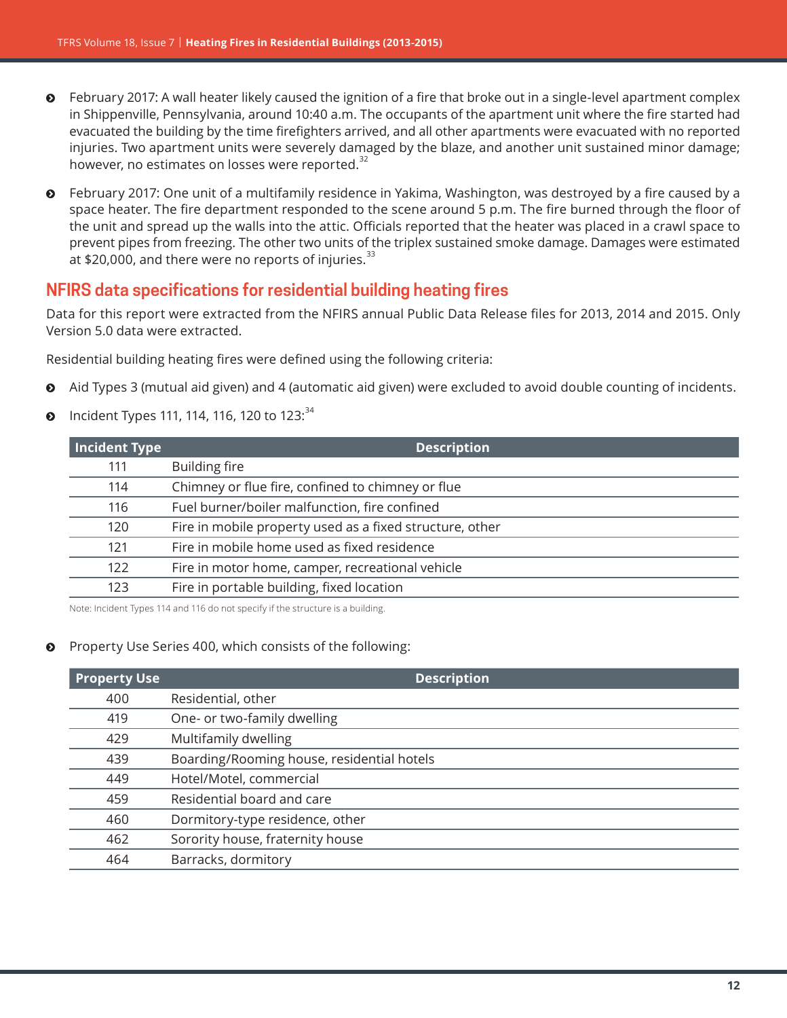- ĵ February 2017: A wall heater likely caused the ignition of a fire that broke out in a single-level apartment complex in Shippenville, Pennsylvania, around 10:40 a.m. The occupants of the apartment unit where the fire started had evacuated the building by the time firefighters arrived, and all other apartments were evacuated with no reported injuries. Two apartment units were severely damaged by the blaze, and another unit sustained minor damage; however, no estimates on losses were reported.<sup>32</sup>
- ĵ February 2017: One unit of a multifamily residence in Yakima, Washington, was destroyed by a fire caused by a space heater. The fire department responded to the scene around 5 p.m. The fire burned through the floor of the unit and spread up the walls into the attic. Officials reported that the heater was placed in a crawl space to prevent pipes from freezing. The other two units of the triplex sustained smoke damage. Damages were estimated at \$20,000, and there were no reports of injuries. $^{33}$

## **NFIRS data specifications for residential building heating fires**

Data for this report were extracted from the NFIRS annual Public Data Release files for 2013, 2014 and 2015. Only Version 5.0 data were extracted.

Residential building heating fires were defined using the following criteria:

- Aid Types 3 (mutual aid given) and 4 (automatic aid given) were excluded to avoid double counting of incidents.
- Incident Types 111, 114, 116, 120 to 123:  $34$

| Incident Type | <b>Description</b>                                       |
|---------------|----------------------------------------------------------|
| 111           | <b>Building fire</b>                                     |
| 114           | Chimney or flue fire, confined to chimney or flue        |
| 116           | Fuel burner/boiler malfunction, fire confined            |
| 120           | Fire in mobile property used as a fixed structure, other |
| 121           | Fire in mobile home used as fixed residence              |
| 122           | Fire in motor home, camper, recreational vehicle         |
| 123           | Fire in portable building, fixed location                |
|               |                                                          |

Note: Incident Types 114 and 116 do not specify if the structure is a building.

#### Property Use Series 400, which consists of the following:

| <b>Property Use</b> | <b>Description</b>                         |
|---------------------|--------------------------------------------|
| 400                 | Residential, other                         |
| 419                 | One- or two-family dwelling                |
| 429                 | Multifamily dwelling                       |
| 439                 | Boarding/Rooming house, residential hotels |
| 449                 | Hotel/Motel, commercial                    |
| 459                 | Residential board and care                 |
| 460                 | Dormitory-type residence, other            |
| 462                 | Sorority house, fraternity house           |
| 464                 | Barracks, dormitory                        |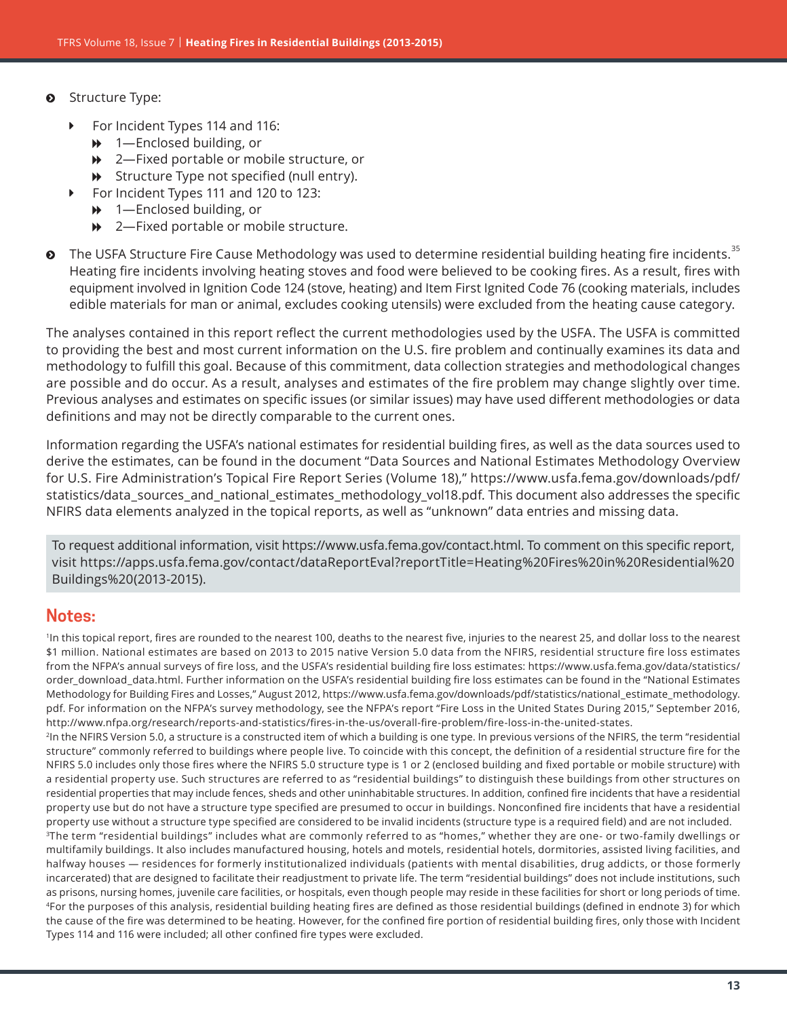- $\odot$  Structure Type:
	- For Incident Types 114 and 116:
		- $\rightarrow$  1—Enclosed building, or
		- **→** 2—Fixed portable or mobile structure, or
		- $\rightarrow$  Structure Type not specified (null entry).
		- For Incident Types 111 and 120 to 123:
			- $\rightarrow$  1—Enclosed building, or
			- $\rightarrow$  2—Fixed portable or mobile structure.
- $\bullet$  The USFA Structure Fire Cause Methodology was used to determine residential building heating fire incidents.<sup>35</sup> Heating fire incidents involving heating stoves and food were believed to be cooking fires. As a result, fires with equipment involved in Ignition Code 124 (stove, heating) and Item First Ignited Code 76 (cooking materials, includes edible materials for man or animal, excludes cooking utensils) were excluded from the heating cause category.

The analyses contained in this report reflect the current methodologies used by the USFA. The USFA is committed to providing the best and most current information on the U.S. fire problem and continually examines its data and methodology to fulfill this goal. Because of this commitment, data collection strategies and methodological changes are possible and do occur. As a result, analyses and estimates of the fire problem may change slightly over time. Previous analyses and estimates on specific issues (or similar issues) may have used different methodologies or data definitions and may not be directly comparable to the current ones.

Information regarding the USFA's national estimates for residential building fires, as well as the data sources used to derive the estimates, can be found in the document "Data Sources and National Estimates Methodology Overview for U.S. Fire Administration's Topical Fire Report Series (Volume 18)," [https://www.usfa.fema.gov/downloads/pdf/](https://www.usfa.fema.gov/downloads/pdf/statistics/data_sources_and_national_estimates_methodology_vol18.pdf) [statistics/data\\_sources\\_and\\_national\\_estimates\\_methodology\\_vol18.pdf.](https://www.usfa.fema.gov/downloads/pdf/statistics/data_sources_and_national_estimates_methodology_vol18.pdf) This document also addresses the specific NFIRS data elements analyzed in the topical reports, as well as "unknown" data entries and missing data.

To request additional information, visit<https://www.usfa.fema.gov/contact.html>. To comment on this specific report, visit [https://apps.usfa.fema.gov/contact/dataReportEval?reportTitle=Heating%20Fires%20in%20Residential%20](https://apps.usfa.fema.gov/contact/dataReportEval?reportTitle=Heating%20Fires%20in%20Residential%20Buildings%20(2013-2015)) [Buildings%20\(2013-2015\)](https://apps.usfa.fema.gov/contact/dataReportEval?reportTitle=Heating%20Fires%20in%20Residential%20Buildings%20(2013-2015)).

#### **Notes:**

<sup>1</sup>In this topical report, fires are rounded to the nearest 100, deaths to the nearest five, injuries to the nearest 25, and dollar loss to the nearest \$1 million. National estimates are based on 2013 to 2015 native Version 5.0 data from the NFIRS, residential structure fire loss estimates from the NFPA's annual surveys of fire loss, and the USFA's residential building fire loss estimates: [https://www.usfa.fema.gov/data/statistics/](https://www.usfa.fema.gov/data/statistics/order_download_data.html) [order\\_download\\_data.html.](https://www.usfa.fema.gov/data/statistics/order_download_data.html) Further information on the USFA's residential building fire loss estimates can be found in the "National Estimates Methodology for Building Fires and Losses," August 2012, [https://www.usfa.fema.gov/downloads/pdf/statistics/national\\_estimate\\_methodology.](https://www.usfa.fema.gov/downloads/pdf/statistics/national_estimate_methodology.pdf) [pdf](https://www.usfa.fema.gov/downloads/pdf/statistics/national_estimate_methodology.pdf). For information on the NFPA's survey methodology, see the NFPA's report "Fire Loss in the United States During 2015," September 2016, <http://www.nfpa.org/research/reports-and-statistics/fires-in-the-us/overall-fire-problem/fire-loss-in-the-united-states>. <sup>2</sup>In the NFIRS Version 5.0, a structure is a constructed item of which a building is one type. In previous versions of the NFIRS, the term "residential structure" commonly referred to buildings where people live. To coincide with this concept, the definition of a residential structure fire for the NFIRS 5.0 includes only those fires where the NFIRS 5.0 structure type is 1 or 2 (enclosed building and fixed portable or mobile structure) with a residential property use. Such structures are referred to as "residential buildings" to distinguish these buildings from other structures on residential properties that may include fences, sheds and other uninhabitable structures. In addition, confined fire incidents that have a residential property use but do not have a structure type specified are presumed to occur in buildings. Nonconfined fire incidents that have a residential property use without a structure type specified are considered to be invalid incidents (structure type is a required field) and are not included.

<sup>3</sup>The term "residential buildings" includes what are commonly referred to as "homes," whether they are one- or two-family dwellings or multifamily buildings. It also includes manufactured housing, hotels and motels, residential hotels, dormitories, assisted living facilities, and halfway houses — residences for formerly institutionalized individuals (patients with mental disabilities, drug addicts, or those formerly incarcerated) that are designed to facilitate their readjustment to private life. The term "residential buildings" does not include institutions, such as prisons, nursing homes, juvenile care facilities, or hospitals, even though people may reside in these facilities for short or long periods of time. 4For the purposes of this analysis, residential building heating fires are defined as those residential buildings (defined in endnote 3) for which the cause of the fire was determined to be heating. However, for the confined fire portion of residential building fires, only those with Incident Types 114 and 116 were included; all other confined fire types were excluded.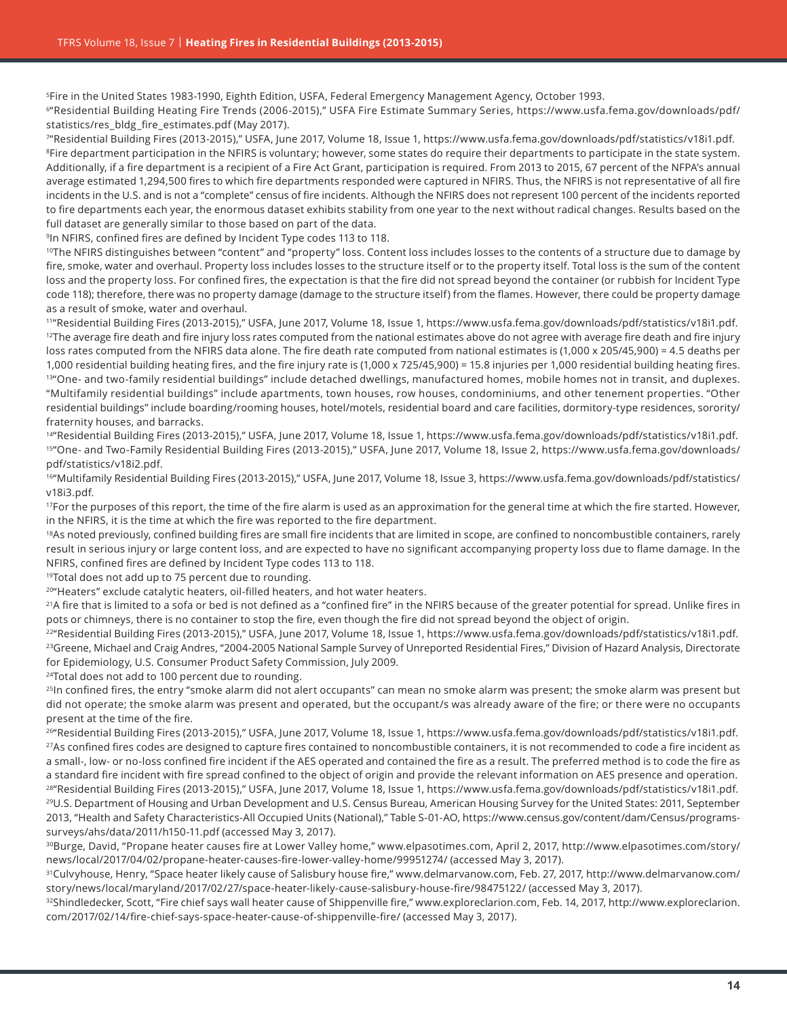5Fire in the United States 1983-1990, Eighth Edition, USFA, Federal Emergency Management Agency, October 1993.

6"Residential Building Heating Fire Trends (2006-2015)," USFA Fire Estimate Summary Series, [https://www.usfa.fema.gov/downloads/pdf/](https://www.usfa.fema.gov/downloads/pdf/statistics/res_bldg_fire_estimates.pdf) [statistics/res\\_bldg\\_fire\\_estimates.pdf](https://www.usfa.fema.gov/downloads/pdf/statistics/res_bldg_fire_estimates.pdf) (May 2017).

7"Residential Building Fires (2013-2015)," USFA, June 2017, Volume 18, Issue 1, <https://www.usfa.fema.gov/downloads/pdf/statistics/v18i1.pdf>. <sup>8</sup>Fire department participation in the NFIRS is voluntary; however, some states do require their departments to participate in the state system. Additionally, if a fire department is a recipient of a Fire Act Grant, participation is required. From 2013 to 2015, 67 percent of the NFPA's annual average estimated 1,294,500 fires to which fire departments responded were captured in NFIRS. Thus, the NFIRS is not representative of all fire incidents in the U.S. and is not a "complete" census of fire incidents. Although the NFIRS does not represent 100 percent of the incidents reported to fire departments each year, the enormous dataset exhibits stability from one year to the next without radical changes. Results based on the full dataset are generally similar to those based on part of the data.

9In NFIRS, confined fires are defined by Incident Type codes 113 to 118.

<sup>10</sup>The NFIRS distinguishes between "content" and "property" loss. Content loss includes losses to the contents of a structure due to damage by fire, smoke, water and overhaul. Property loss includes losses to the structure itself or to the property itself. Total loss is the sum of the content loss and the property loss. For confined fires, the expectation is that the fire did not spread beyond the container (or rubbish for Incident Type code 118); therefore, there was no property damage (damage to the structure itself) from the flames. However, there could be property damage as a result of smoke, water and overhaul.

11"Residential Building Fires (2013-2015)," USFA, June 2017, Volume 18, Issue 1, <https://www.usfa.fema.gov/downloads/pdf/statistics/v18i1.pdf>.  $12$ The average fire death and fire injury loss rates computed from the national estimates above do not agree with average fire death and fire injury loss rates computed from the NFIRS data alone. The fire death rate computed from national estimates is (1,000 x 205/45,900) = 4.5 deaths per 1,000 residential building heating fires, and the fire injury rate is (1,000 x 725/45,900) = 15.8 injuries per 1,000 residential building heating fires. 13" One- and two-family residential buildings" include detached dwellings, manufactured homes, mobile homes not in transit, and duplexes. "Multifamily residential buildings" include apartments, town houses, row houses, condominiums, and other tenement properties. "Other residential buildings" include boarding/rooming houses, hotel/motels, residential board and care facilities, dormitory-type residences, sorority/ fraternity houses, and barracks.

14"Residential Building Fires (2013-2015)," USFA, June 2017, Volume 18, Issue 1,<https://www.usfa.fema.gov/downloads/pdf/statistics/v18i1.pdf>. 15"One- and Two-Family Residential Building Fires (2013-2015)," USFA, June 2017, Volume 18, Issue 2, [https://www.usfa.fema.gov/downloads/](https://www.usfa.fema.gov/downloads/pdf/statistics/v18i2.pdf) [pdf/statistics/v18i2.pdf](https://www.usfa.fema.gov/downloads/pdf/statistics/v18i2.pdf).

16"Multifamily Residential Building Fires (2013-2015)," USFA, June 2017, Volume 18, Issue 3, [https://www.usfa.fema.gov/downloads/pdf/statistics/](https://www.usfa.fema.gov/downloads/pdf/statistics/v18i3.pdf) [v18i3.pdf](https://www.usfa.fema.gov/downloads/pdf/statistics/v18i3.pdf).

<sup>17</sup>For the purposes of this report, the time of the fire alarm is used as an approximation for the general time at which the fire started. However, in the NFIRS, it is the time at which the fire was reported to the fire department.

<sup>18</sup>As noted previously, confined building fires are small fire incidents that are limited in scope, are confined to noncombustible containers, rarely result in serious injury or large content loss, and are expected to have no significant accompanying property loss due to flame damage. In the NFIRS, confined fires are defined by Incident Type codes 113 to 118.

<sup>19</sup>Total does not add up to 75 percent due to rounding.

<sup>20</sup>"Heaters" exclude catalytic heaters, oil-filled heaters, and hot water heaters.

<sup>21</sup>A fire that is limited to a sofa or bed is not defined as a "confined fire" in the NFIRS because of the greater potential for spread. Unlike fires in pots or chimneys, there is no container to stop the fire, even though the fire did not spread beyond the object of origin.

<sup>22</sup>"Residential Building Fires (2013-2015)," USFA, June 2017, Volume 18, Issue 1,<https://www.usfa.fema.gov/downloads/pdf/statistics/v18i1.pdf>. <sup>23</sup>Greene, Michael and Craig Andres, "2004-2005 National Sample Survey of Unreported Residential Fires," Division of Hazard Analysis, Directorate for Epidemiology, U.S. Consumer Product Safety Commission, July 2009.

<sup>24</sup>Total does not add to 100 percent due to rounding.

25In confined fires, the entry "smoke alarm did not alert occupants" can mean no smoke alarm was present; the smoke alarm was present but did not operate; the smoke alarm was present and operated, but the occupant/s was already aware of the fire; or there were no occupants present at the time of the fire.

26"Residential Building Fires (2013-2015)," USFA, June 2017, Volume 18, Issue 1,<https://www.usfa.fema.gov/downloads/pdf/statistics/v18i1.pdf>.  $^{27}$ As confined fires codes are designed to capture fires contained to noncombustible containers, it is not recommended to code a fire incident as a small-, low- or no-loss confined fire incident if the AES operated and contained the fire as a result. The preferred method is to code the fire as a standard fire incident with fire spread confined to the object of origin and provide the relevant information on AES presence and operation. 28"Residential Building Fires (2013-2015)," USFA, June 2017, Volume 18, Issue 1,<https://www.usfa.fema.gov/downloads/pdf/statistics/v18i1.pdf>.

29U.S. Department of Housing and Urban Development and U.S. Census Bureau, American Housing Survey for the United States: 2011, September 2013, "Health and Safety Characteristics-All Occupied Units (National)," Table S-01-AO, [https://www.census.gov/content/dam/Census/programs](https://www.census.gov/content/dam/Census/programs-surveys/ahs/data/2011/h150-11.pdf)[surveys/ahs/data/2011/h150-11.pdf](https://www.census.gov/content/dam/Census/programs-surveys/ahs/data/2011/h150-11.pdf) (accessed May 3, 2017).

30Burge, David, "Propane heater causes fire at Lower Valley home," www.elpasotimes.com, April 2, 2017, [http://www.elpasotimes.com/story/](http://www.elpasotimes.com/story/news/local/2017/04/02/propane-heater-causes-fire-lower-valley-home/99951274/) [news/local/2017/04/02/propane-heater-causes-fire-lower-valley-home/99951274/](http://www.elpasotimes.com/story/news/local/2017/04/02/propane-heater-causes-fire-lower-valley-home/99951274/) (accessed May 3, 2017).

31Culvyhouse, Henry, "Space heater likely cause of Salisbury house fire," www.delmarvanow.com, Feb. 27, 2017, [http://www.delmarvanow.com/](http://www.delmarvanow.com/story/news/local/maryland/2017/02/27/space-heater-likely-cause-salisbury-house-fire/98475122/) [story/news/local/maryland/2017/02/27/space-heater-likely-cause-salisbury-house-fire/98475122/](http://www.delmarvanow.com/story/news/local/maryland/2017/02/27/space-heater-likely-cause-salisbury-house-fire/98475122/) (accessed May 3, 2017).

32Shindledecker, Scott, "Fire chief says wall heater cause of Shippenville fire," www.exploreclarion.com, Feb. 14, 2017, [http://www.exploreclarion.](http://www.exploreclarion.com/2017/02/14/fire-chief-says-space-heater-cause-of-shippenville-fire/) [com/2017/02/14/fire-chief-says-space-heater-cause-of-shippenville-fire/](http://www.exploreclarion.com/2017/02/14/fire-chief-says-space-heater-cause-of-shippenville-fire/) (accessed May 3, 2017).